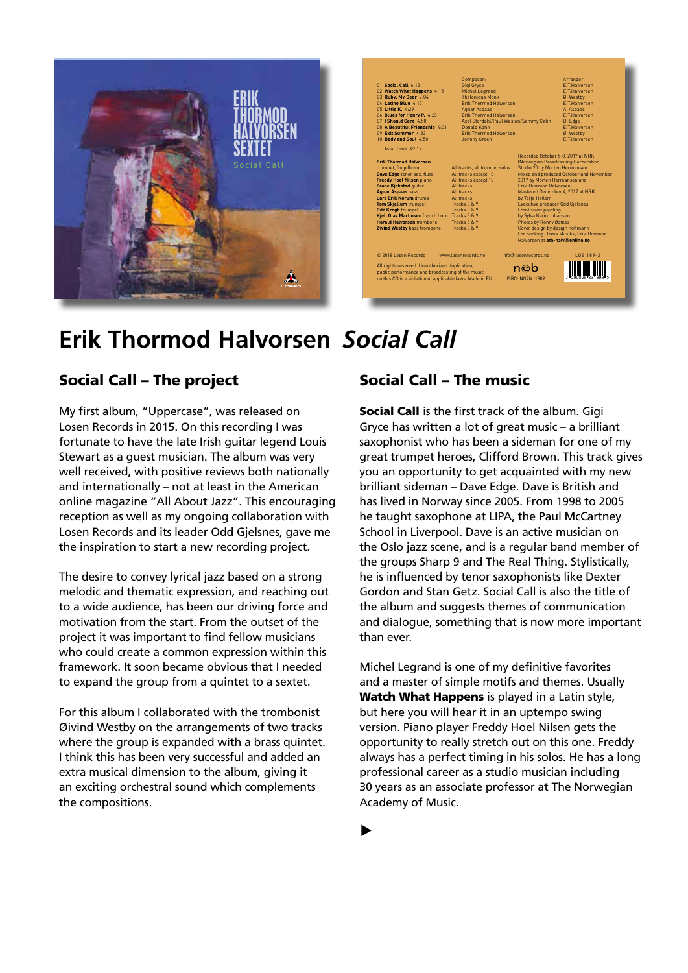

| 01 Social Call 6:12<br>02 Watch What Happens 4:15<br>03 Ruby, My Dear 7:04<br>04 Latino Blue 4:17<br>05 Little K. 4.29<br>06 Blues for Henry P. 4:23<br>07   Should Care 4:50                                                                                                                                                                                                                    | Composer:<br>Gigi Gryce<br><b>Michel Legrand</b><br><b>Thelonious Monk</b><br><b>Frik Thormod Halvorsen</b><br>Agnar Aspaas<br><b>Frik Thormod Halvorsen</b><br>Axel Stordahl/Paul Weston/Sammy Cahn |                                                                                                                                                                                                                                                                                                                | Arranger:<br><b>F.T.Halvorsen</b><br>F.T.Halvorsen<br>Ø. Westby<br><b>F.T.Halvorsen</b><br>A. Aspaas<br><b>F.T.Halvorsen</b><br>D. Edge                                                            |
|--------------------------------------------------------------------------------------------------------------------------------------------------------------------------------------------------------------------------------------------------------------------------------------------------------------------------------------------------------------------------------------------------|------------------------------------------------------------------------------------------------------------------------------------------------------------------------------------------------------|----------------------------------------------------------------------------------------------------------------------------------------------------------------------------------------------------------------------------------------------------------------------------------------------------------------|----------------------------------------------------------------------------------------------------------------------------------------------------------------------------------------------------|
| 08 A Beautiful Friendship 4:01<br>09 Exit Summer 4:33<br>10 Body and Soul 4:50                                                                                                                                                                                                                                                                                                                   | Donald Kahn<br><b>Frik Thormod Halvorsen</b><br><b>Johnny Green</b>                                                                                                                                  |                                                                                                                                                                                                                                                                                                                | <b>F.T.Halvorsen</b><br>Ø. Westby<br><b>F.T.Halvorsen</b>                                                                                                                                          |
| Total Time: 49:17<br><b>Erik Thormod Halvorsen</b><br>trumpet. flugelhorn<br>Dave Edge tenor sax, flute<br>Freddy Hoel Nilsen piano<br>Frode Kjekstad quitar<br><b>Agnar Aspaas bass</b><br>Lars Erik Norum drums<br><b>Tom Skjellum trumpet</b><br><b>Odd Krogh trumpet</b><br>Kiell Olav Martinsen french horn Tracks 3 & 9<br><b>Harald Halvorsen trombone</b><br>Øivind Westby bass trombone | All tracks, all trumpet solos<br>All tracks except 10<br>All tracks except 10<br>All tracks<br>All tracks<br>All tracks<br>Tracks 3 & 9<br>Tracks 3 & 9<br>Tracks 3 & 9<br>Tracks 3 & 9              | Studio 20 by Morten Hermansen<br>2017 by Morten Hermansen and<br><b>Frik Thormod Halvorsen</b><br>by Terie Hellem<br><b>Executive producer Odd Gjelsnes</b><br>Front cover painting<br>by Sylva Karin Johansen<br>Photos by Ronny Østnes<br>Cover design by design holtmann<br>Halvorsen at eth-halv@online.no | Recorded October 5-8, 2017 at NRK<br>(Norwegian Broadcasting Corporation)<br>Mixed and produced October and November<br>Mastered December 4, 2017 at NRK<br>For booking: Tema Musikk, Erik Thormod |
| © 2018 Losen Records<br>All rights reserved. Unauthorized duplication,<br>public performance and broadcasting of the music<br>on this CD is a violation of applicable laws. Made in EU.                                                                                                                                                                                                          | www.losenrecords.no                                                                                                                                                                                  | info@losenrecords.no<br>n©b<br><b>ISRC: NO2N J1889</b>                                                                                                                                                                                                                                                         | 105 189-2                                                                                                                                                                                          |

## **Erik Thormod Halvorsen** *Social Call*

## Social Call – The project

My first album, "Uppercase", was released on Losen Records in 2015. On this recording I was fortunate to have the late Irish guitar legend Louis Stewart as a guest musician. The album was very well received, with positive reviews both nationally and internationally – not at least in the American online magazine "All About Jazz". This encouraging reception as well as my ongoing collaboration with Losen Records and its leader Odd Gjelsnes, gave me the inspiration to start a new recording project.

The desire to convey lyrical jazz based on a strong melodic and thematic expression, and reaching out to a wide audience, has been our driving force and motivation from the start. From the outset of the project it was important to find fellow musicians who could create a common expression within this framework. It soon became obvious that I needed to expand the group from a quintet to a sextet.

For this album I collaborated with the trombonist Øivind Westby on the arrangements of two tracks where the group is expanded with a brass quintet. I think this has been very successful and added an extra musical dimension to the album, giving it an exciting orchestral sound which complements the compositions.

## Social Call – The music

Social Call is the first track of the album. Gigi Gryce has written a lot of great music – a brilliant saxophonist who has been a sideman for one of my great trumpet heroes, Clifford Brown. This track gives you an opportunity to get acquainted with my new brilliant sideman – Dave Edge. Dave is British and has lived in Norway since 2005. From 1998 to 2005 he taught saxophone at LIPA, the Paul McCartney School in Liverpool. Dave is an active musician on the Oslo jazz scene, and is a regular band member of the groups Sharp 9 and The Real Thing. Stylistically, he is influenced by tenor saxophonists like Dexter Gordon and Stan Getz. Social Call is also the title of the album and suggests themes of communication and dialogue, something that is now more important than ever.

Michel Legrand is one of my definitive favorites and a master of simple motifs and themes. Usually Watch What Happens is played in a Latin style, but here you will hear it in an uptempo swing version. Piano player Freddy Hoel Nilsen gets the opportunity to really stretch out on this one. Freddy always has a perfect timing in his solos. He has a long professional career as a studio musician including 30 years as an associate professor at The Norwegian Academy of Music.

 $\blacktriangleright$